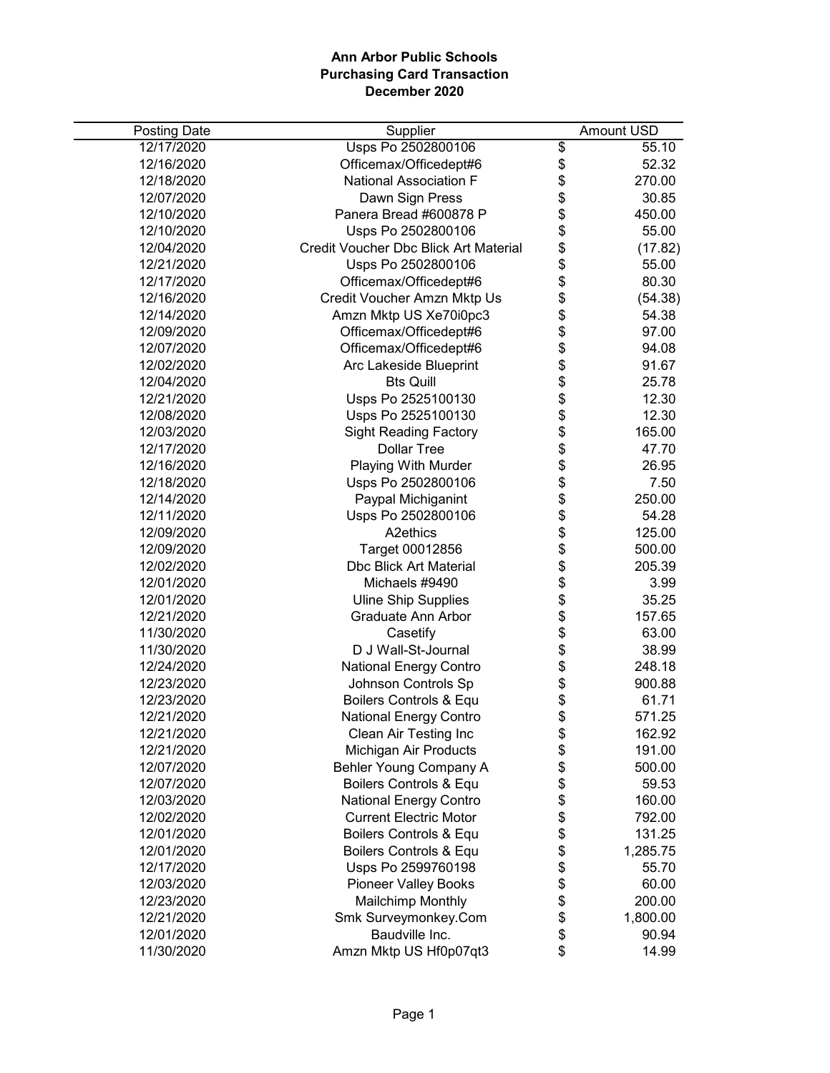| <b>Posting Date</b> | Supplier                              |                                  | <b>Amount USD</b> |
|---------------------|---------------------------------------|----------------------------------|-------------------|
| 12/17/2020          | Usps Po 2502800106                    | \$                               | 55.10             |
| 12/16/2020          | Officemax/Officedept#6                | \$                               | 52.32             |
| 12/18/2020          | <b>National Association F</b>         | \$                               | 270.00            |
| 12/07/2020          | Dawn Sign Press                       | \$                               | 30.85             |
| 12/10/2020          | Panera Bread #600878 P                |                                  | 450.00            |
| 12/10/2020          | Usps Po 2502800106                    |                                  | 55.00             |
| 12/04/2020          | Credit Voucher Dbc Blick Art Material |                                  | (17.82)           |
| 12/21/2020          | Usps Po 2502800106                    |                                  | 55.00             |
| 12/17/2020          | Officemax/Officedept#6                |                                  | 80.30             |
| 12/16/2020          | Credit Voucher Amzn Mktp Us           |                                  | (54.38)           |
| 12/14/2020          | Amzn Mktp US Xe70i0pc3                |                                  | 54.38             |
| 12/09/2020          | Officemax/Officedept#6                |                                  | 97.00             |
| 12/07/2020          | Officemax/Officedept#6                |                                  | 94.08             |
| 12/02/2020          | Arc Lakeside Blueprint                |                                  | 91.67             |
| 12/04/2020          | <b>Bts Quill</b>                      |                                  | 25.78             |
| 12/21/2020          | Usps Po 2525100130                    |                                  | 12.30             |
| 12/08/2020          | Usps Po 2525100130                    |                                  | 12.30             |
| 12/03/2020          | <b>Sight Reading Factory</b>          |                                  | 165.00            |
| 12/17/2020          | <b>Dollar Tree</b>                    | \$\$\$\$\$\$\$\$\$\$\$\$\$\$\$\$ | 47.70             |
| 12/16/2020          | Playing With Murder                   | \$<br>\$                         | 26.95             |
| 12/18/2020          | Usps Po 2502800106                    |                                  | 7.50              |
| 12/14/2020          | Paypal Michiganint                    |                                  | 250.00            |
| 12/11/2020          | Usps Po 2502800106                    |                                  | 54.28             |
| 12/09/2020          | A <sub>2</sub> ethics                 | <b>8888888888888</b>             | 125.00            |
| 12/09/2020          | Target 00012856                       |                                  | 500.00            |
| 12/02/2020          | <b>Dbc Blick Art Material</b>         |                                  | 205.39            |
| 12/01/2020          | Michaels #9490                        |                                  | 3.99              |
| 12/01/2020          | <b>Uline Ship Supplies</b>            |                                  | 35.25             |
| 12/21/2020          | Graduate Ann Arbor                    |                                  | 157.65            |
| 11/30/2020          | Casetify                              |                                  | 63.00             |
| 11/30/2020          | D J Wall-St-Journal                   |                                  | 38.99             |
| 12/24/2020          | <b>National Energy Contro</b>         |                                  | 248.18            |
| 12/23/2020          | Johnson Controls Sp                   |                                  | 900.88            |
| 12/23/2020          | Boilers Controls & Equ                | $\ddot{\$}$                      | 61.71             |
| 12/21/2020          | <b>National Energy Contro</b>         | \$                               | 571.25            |
| 12/21/2020          | Clean Air Testing Inc                 | \$                               | 162.92            |
| 12/21/2020          | Michigan Air Products                 | \$                               | 191.00            |
| 12/07/2020          | Behler Young Company A                | \$                               | 500.00            |
| 12/07/2020          | Boilers Controls & Equ                |                                  | 59.53             |
| 12/03/2020          | <b>National Energy Contro</b>         |                                  | 160.00            |
| 12/02/2020          | <b>Current Electric Motor</b>         |                                  | 792.00            |
| 12/01/2020          | Boilers Controls & Equ                |                                  | 131.25            |
| 12/01/2020          | Boilers Controls & Equ                |                                  | 1,285.75          |
| 12/17/2020          | Usps Po 2599760198                    |                                  | 55.70             |
| 12/03/2020          | <b>Pioneer Valley Books</b>           | <b>8888888</b>                   | 60.00             |
| 12/23/2020          | Mailchimp Monthly                     |                                  | 200.00            |
| 12/21/2020          | Smk Surveymonkey.Com                  | \$                               | 1,800.00          |
| 12/01/2020          | Baudville Inc.                        | \$                               | 90.94             |
| 11/30/2020          | Amzn Mktp US Hf0p07qt3                | \$                               | 14.99             |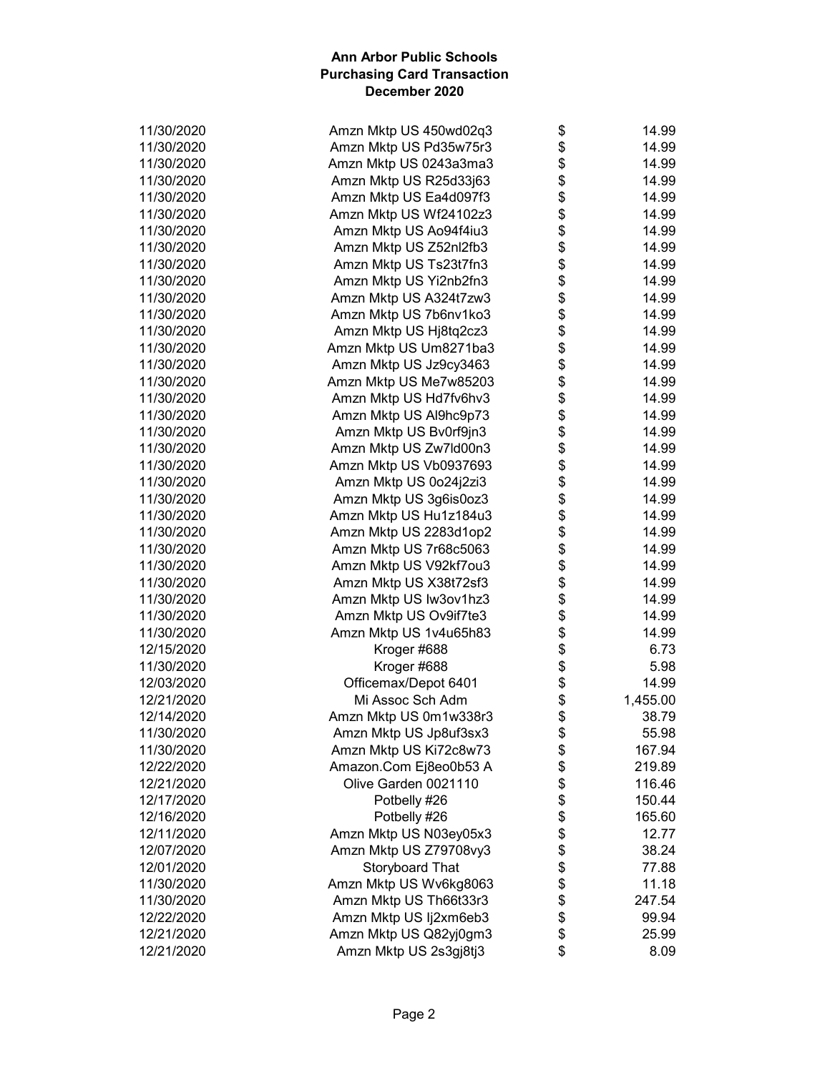| 11/30/2020 | Amzn Mktp US 450wd02q3 | \$         | 14.99    |
|------------|------------------------|------------|----------|
| 11/30/2020 | Amzn Mktp US Pd35w75r3 | \$         | 14.99    |
| 11/30/2020 | Amzn Mktp US 0243a3ma3 | \$         | 14.99    |
| 11/30/2020 | Amzn Mktp US R25d33j63 | \$         | 14.99    |
| 11/30/2020 | Amzn Mktp US Ea4d097f3 | \$         | 14.99    |
| 11/30/2020 | Amzn Mktp US Wf24102z3 | \$         | 14.99    |
| 11/30/2020 | Amzn Mktp US Ao94f4iu3 | \$         | 14.99    |
| 11/30/2020 | Amzn Mktp US Z52nl2fb3 | \$         | 14.99    |
| 11/30/2020 | Amzn Mktp US Ts23t7fn3 | \$         | 14.99    |
| 11/30/2020 | Amzn Mktp US Yi2nb2fn3 | \$         | 14.99    |
| 11/30/2020 | Amzn Mktp US A324t7zw3 | \$         | 14.99    |
| 11/30/2020 | Amzn Mktp US 7b6nv1ko3 | \$         | 14.99    |
| 11/30/2020 | Amzn Mktp US Hj8tq2cz3 | \$         | 14.99    |
| 11/30/2020 | Amzn Mktp US Um8271ba3 | \$         | 14.99    |
| 11/30/2020 | Amzn Mktp US Jz9cy3463 | \$         | 14.99    |
| 11/30/2020 | Amzn Mktp US Me7w85203 | \$         | 14.99    |
| 11/30/2020 | Amzn Mktp US Hd7fv6hv3 | \$         | 14.99    |
| 11/30/2020 | Amzn Mktp US Al9hc9p73 | \$         | 14.99    |
| 11/30/2020 | Amzn Mktp US Bv0rf9jn3 | \$         | 14.99    |
| 11/30/2020 | Amzn Mktp US Zw7ld00n3 | \$         | 14.99    |
| 11/30/2020 | Amzn Mktp US Vb0937693 | \$         | 14.99    |
| 11/30/2020 | Amzn Mktp US 0o24j2zi3 | \$         | 14.99    |
| 11/30/2020 | Amzn Mktp US 3g6is0oz3 | \$         | 14.99    |
| 11/30/2020 | Amzn Mktp US Hu1z184u3 | \$         | 14.99    |
| 11/30/2020 | Amzn Mktp US 2283d1op2 | \$         | 14.99    |
| 11/30/2020 | Amzn Mktp US 7r68c5063 | \$         | 14.99    |
| 11/30/2020 | Amzn Mktp US V92kf7ou3 | \$         | 14.99    |
| 11/30/2020 | Amzn Mktp US X38t72sf3 | \$         | 14.99    |
| 11/30/2020 | Amzn Mktp US Iw3ov1hz3 | \$         | 14.99    |
| 11/30/2020 | Amzn Mktp US Ov9if7te3 | \$         | 14.99    |
| 11/30/2020 | Amzn Mktp US 1v4u65h83 | \$         | 14.99    |
| 12/15/2020 | Kroger #688            | \$         | 6.73     |
| 11/30/2020 | Kroger #688            | \$         | 5.98     |
| 12/03/2020 | Officemax/Depot 6401   | \$         | 14.99    |
| 12/21/2020 | Mi Assoc Sch Adm       | \$         | 1,455.00 |
| 12/14/2020 | Amzn Mktp US 0m1w338r3 | \$         | 38.79    |
| 11/30/2020 | Amzn Mktp US Jp8uf3sx3 | \$         | 55.98    |
| 11/30/2020 | Amzn Mktp US Ki72c8w73 | \$         | 167.94   |
| 12/22/2020 | Amazon.Com Ej8eo0b53 A | \$         | 219.89   |
| 12/21/2020 | Olive Garden 0021110   | \$         | 116.46   |
| 12/17/2020 | Potbelly #26           |            | 150.44   |
| 12/16/2020 | Potbelly #26           | \$\$\$\$\$ | 165.60   |
| 12/11/2020 | Amzn Mktp US N03ey05x3 |            | 12.77    |
| 12/07/2020 | Amzn Mktp US Z79708vy3 |            | 38.24    |
| 12/01/2020 | Storyboard That        |            | 77.88    |
| 11/30/2020 | Amzn Mktp US Wv6kg8063 | \$         | 11.18    |
| 11/30/2020 | Amzn Mktp US Th66t33r3 |            | 247.54   |
| 12/22/2020 | Amzn Mktp US Ij2xm6eb3 | \$         | 99.94    |
| 12/21/2020 | Amzn Mktp US Q82yj0gm3 | \$         | 25.99    |
| 12/21/2020 | Amzn Mktp US 2s3gj8tj3 | \$         | 8.09     |
|            |                        |            |          |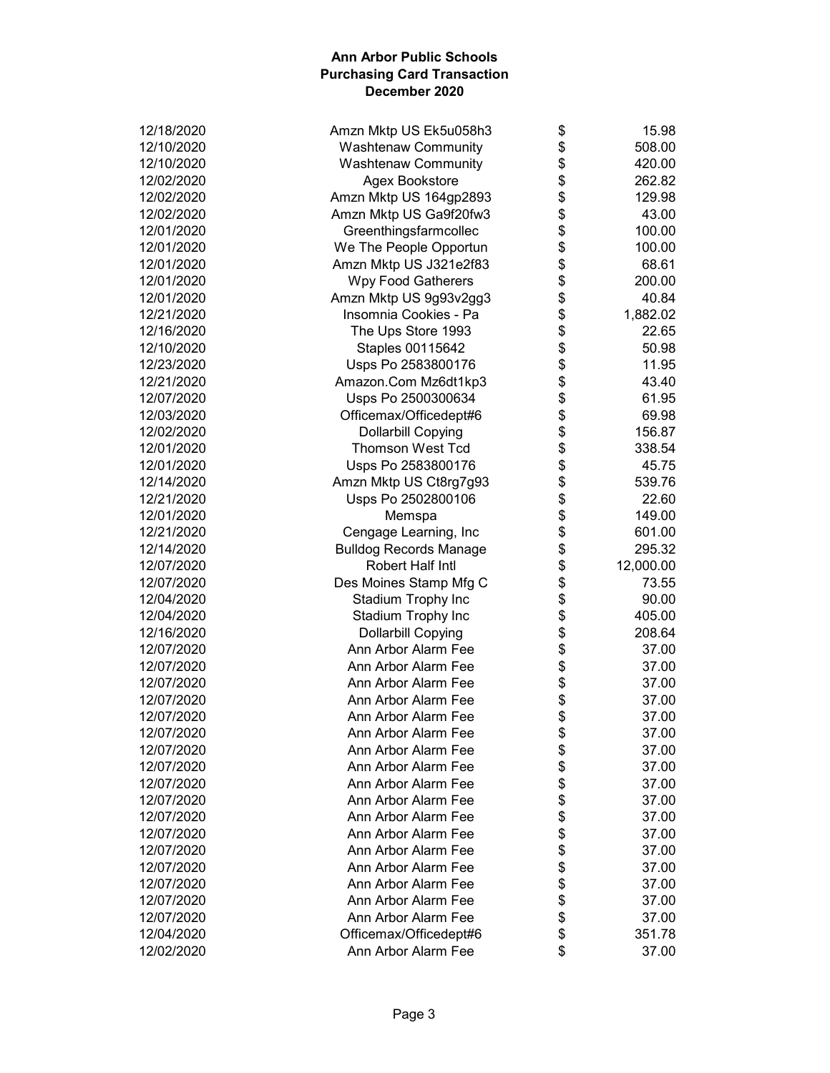| 12/18/2020 | Amzn Mktp US Ek5u058h3        | \$       | 15.98     |
|------------|-------------------------------|----------|-----------|
| 12/10/2020 | <b>Washtenaw Community</b>    | \$       | 508.00    |
| 12/10/2020 | <b>Washtenaw Community</b>    | \$       | 420.00    |
| 12/02/2020 | Agex Bookstore                | \$       | 262.82    |
| 12/02/2020 | Amzn Mktp US 164gp2893        | \$       | 129.98    |
| 12/02/2020 | Amzn Mktp US Ga9f20fw3        | \$       | 43.00     |
| 12/01/2020 | Greenthingsfarmcollec         | \$       | 100.00    |
| 12/01/2020 | We The People Opportun        | \$       | 100.00    |
| 12/01/2020 | Amzn Mktp US J321e2f83        | \$       | 68.61     |
| 12/01/2020 | <b>Wpy Food Gatherers</b>     | \$       | 200.00    |
| 12/01/2020 | Amzn Mktp US 9g93v2gg3        | \$       | 40.84     |
| 12/21/2020 | Insomnia Cookies - Pa         | \$       | 1,882.02  |
| 12/16/2020 | The Ups Store 1993            | \$       | 22.65     |
| 12/10/2020 | Staples 00115642              | \$       | 50.98     |
| 12/23/2020 | Usps Po 2583800176            | \$       | 11.95     |
| 12/21/2020 | Amazon.Com Mz6dt1kp3          | \$       | 43.40     |
| 12/07/2020 | Usps Po 2500300634            | \$       | 61.95     |
| 12/03/2020 | Officemax/Officedept#6        | \$       | 69.98     |
| 12/02/2020 | <b>Dollarbill Copying</b>     | \$       | 156.87    |
| 12/01/2020 | <b>Thomson West Tcd</b>       | \$       | 338.54    |
| 12/01/2020 | Usps Po 2583800176            | \$       | 45.75     |
| 12/14/2020 | Amzn Mktp US Ct8rg7g93        | \$       | 539.76    |
| 12/21/2020 | Usps Po 2502800106            | \$       | 22.60     |
| 12/01/2020 | Memspa                        | \$       | 149.00    |
| 12/21/2020 | Cengage Learning, Inc         | \$       | 601.00    |
| 12/14/2020 | <b>Bulldog Records Manage</b> | \$       | 295.32    |
| 12/07/2020 | Robert Half Intl              | \$       | 12,000.00 |
| 12/07/2020 | Des Moines Stamp Mfg C        | \$       | 73.55     |
| 12/04/2020 | Stadium Trophy Inc            | \$       | 90.00     |
| 12/04/2020 | Stadium Trophy Inc            | \$       | 405.00    |
| 12/16/2020 | <b>Dollarbill Copying</b>     | \$       | 208.64    |
| 12/07/2020 | Ann Arbor Alarm Fee           |          | 37.00     |
| 12/07/2020 | Ann Arbor Alarm Fee           | \$       | 37.00     |
| 12/07/2020 | Ann Arbor Alarm Fee           | \$<br>\$ |           |
|            |                               |          | 37.00     |
| 12/07/2020 | Ann Arbor Alarm Fee           | \$<br>\$ | 37.00     |
| 12/07/2020 | Ann Arbor Alarm Fee           | ሖ        | 37.00     |
| 12/07/2020 | Ann Arbor Alarm Fee           | Φ        | 37.00     |
| 12/07/2020 | Ann Arbor Alarm Fee           | \$       | 37.00     |
| 12/07/2020 | Ann Arbor Alarm Fee           | \$       | 37.00     |
| 12/07/2020 | Ann Arbor Alarm Fee           | \$       | 37.00     |
| 12/07/2020 | Ann Arbor Alarm Fee           | \$       | 37.00     |
| 12/07/2020 | Ann Arbor Alarm Fee           | \$       | 37.00     |
| 12/07/2020 | Ann Arbor Alarm Fee           | \$       | 37.00     |
| 12/07/2020 | Ann Arbor Alarm Fee           | \$       | 37.00     |
| 12/07/2020 | Ann Arbor Alarm Fee           | \$       | 37.00     |
| 12/07/2020 | Ann Arbor Alarm Fee           | \$       | 37.00     |
| 12/07/2020 | Ann Arbor Alarm Fee           | \$       | 37.00     |
| 12/07/2020 | Ann Arbor Alarm Fee           | \$       | 37.00     |
| 12/04/2020 | Officemax/Officedept#6        | \$       | 351.78    |
| 12/02/2020 | Ann Arbor Alarm Fee           | \$       | 37.00     |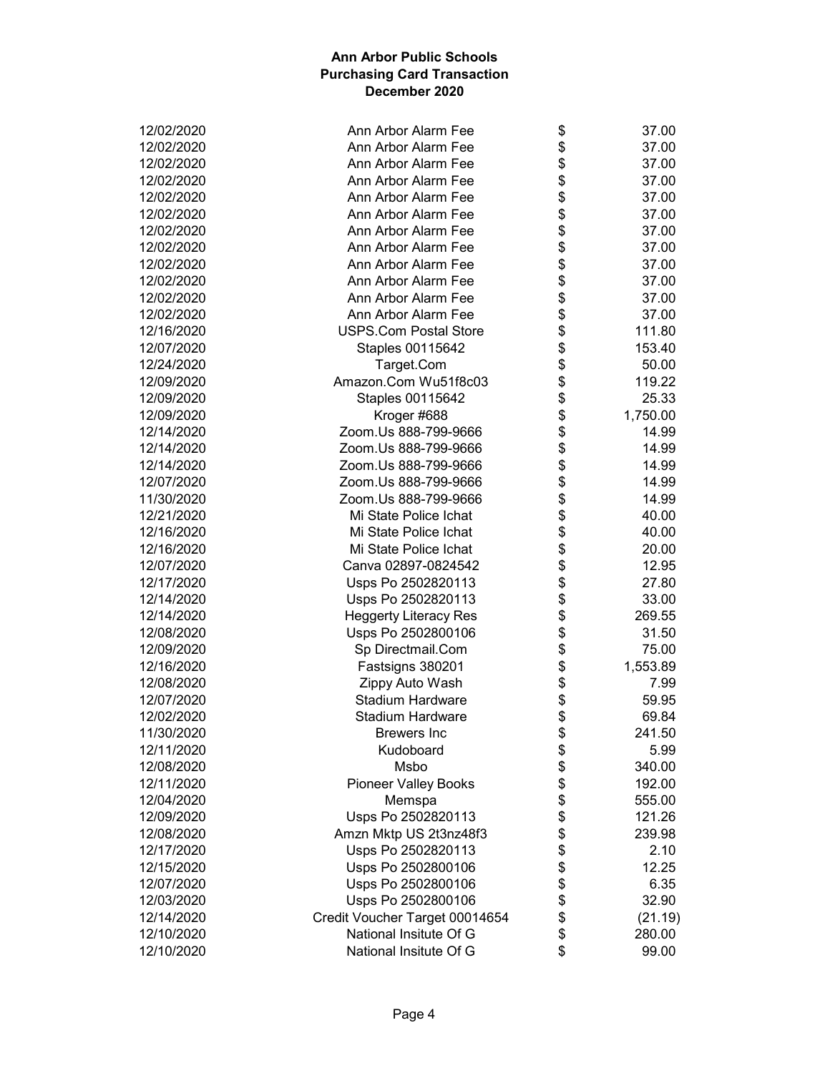| 12/02/2020               | Ann Arbor Alarm Fee                                      | \$<br>37.00    |
|--------------------------|----------------------------------------------------------|----------------|
| 12/02/2020               | Ann Arbor Alarm Fee                                      | \$<br>37.00    |
| 12/02/2020               | Ann Arbor Alarm Fee                                      | \$<br>37.00    |
| 12/02/2020               | Ann Arbor Alarm Fee                                      | \$<br>37.00    |
| 12/02/2020               | Ann Arbor Alarm Fee                                      | \$<br>37.00    |
| 12/02/2020               | Ann Arbor Alarm Fee                                      | \$<br>37.00    |
| 12/02/2020               | Ann Arbor Alarm Fee                                      | \$<br>37.00    |
| 12/02/2020               | Ann Arbor Alarm Fee                                      | \$<br>37.00    |
| 12/02/2020               | Ann Arbor Alarm Fee                                      | \$<br>37.00    |
| 12/02/2020               | Ann Arbor Alarm Fee                                      | \$<br>37.00    |
| 12/02/2020               | Ann Arbor Alarm Fee                                      | \$<br>37.00    |
| 12/02/2020               | Ann Arbor Alarm Fee                                      | \$<br>37.00    |
| 12/16/2020               | <b>USPS.Com Postal Store</b>                             | \$<br>111.80   |
| 12/07/2020               | Staples 00115642                                         | \$<br>153.40   |
| 12/24/2020               | Target.Com                                               | \$<br>50.00    |
| 12/09/2020               | Amazon.Com Wu51f8c03                                     | \$<br>119.22   |
| 12/09/2020               | Staples 00115642                                         | \$<br>25.33    |
| 12/09/2020               | Kroger #688                                              | \$<br>1,750.00 |
| 12/14/2020               | Zoom.Us 888-799-9666                                     | \$<br>14.99    |
| 12/14/2020               | Zoom.Us 888-799-9666                                     | \$<br>14.99    |
| 12/14/2020               | Zoom.Us 888-799-9666                                     | \$<br>14.99    |
| 12/07/2020               | Zoom.Us 888-799-9666                                     | \$<br>14.99    |
| 11/30/2020               | Zoom.Us 888-799-9666                                     | \$<br>14.99    |
| 12/21/2020               | Mi State Police Ichat                                    | \$<br>40.00    |
| 12/16/2020               | Mi State Police Ichat                                    | \$<br>40.00    |
| 12/16/2020               | Mi State Police Ichat                                    | \$<br>20.00    |
| 12/07/2020               | Canva 02897-0824542                                      | \$<br>12.95    |
| 12/17/2020               | Usps Po 2502820113                                       | \$<br>27.80    |
| 12/14/2020               | Usps Po 2502820113                                       | \$<br>33.00    |
| 12/14/2020               | <b>Heggerty Literacy Res</b>                             | \$<br>269.55   |
| 12/08/2020               | Usps Po 2502800106                                       | \$<br>31.50    |
| 12/09/2020               | Sp Directmail.Com                                        | \$<br>75.00    |
| 12/16/2020               | Fastsigns 380201                                         | \$<br>1,553.89 |
| 12/08/2020               | Zippy Auto Wash                                          | \$<br>7.99     |
| 12/07/2020               | <b>Stadium Hardware</b>                                  | \$<br>59.95    |
| 12/02/2020               | <b>Stadium Hardware</b>                                  | \$<br>69.84    |
| 11/30/2020               | <b>Brewers Inc</b>                                       | \$<br>241.50   |
| 12/11/2020               | Kudoboard                                                | \$<br>5.99     |
| 12/08/2020               | Msbo                                                     | \$<br>340.00   |
| 12/11/2020               | <b>Pioneer Valley Books</b>                              | \$<br>192.00   |
| 12/04/2020               | Memspa                                                   | \$<br>555.00   |
| 12/09/2020               | Usps Po 2502820113                                       | \$<br>121.26   |
| 12/08/2020               | Amzn Mktp US 2t3nz48f3                                   | \$<br>239.98   |
| 12/17/2020               | Usps Po 2502820113                                       | \$<br>2.10     |
| 12/15/2020               | Usps Po 2502800106                                       | \$<br>12.25    |
|                          |                                                          |                |
| 12/07/2020               | Usps Po 2502800106<br>Usps Po 2502800106                 | \$<br>6.35     |
| 12/03/2020               |                                                          | \$<br>32.90    |
| 12/14/2020<br>12/10/2020 | Credit Voucher Target 00014654<br>National Insitute Of G | \$<br>(21.19)  |
|                          |                                                          | \$<br>280.00   |
| 12/10/2020               | National Insitute Of G                                   | \$<br>99.00    |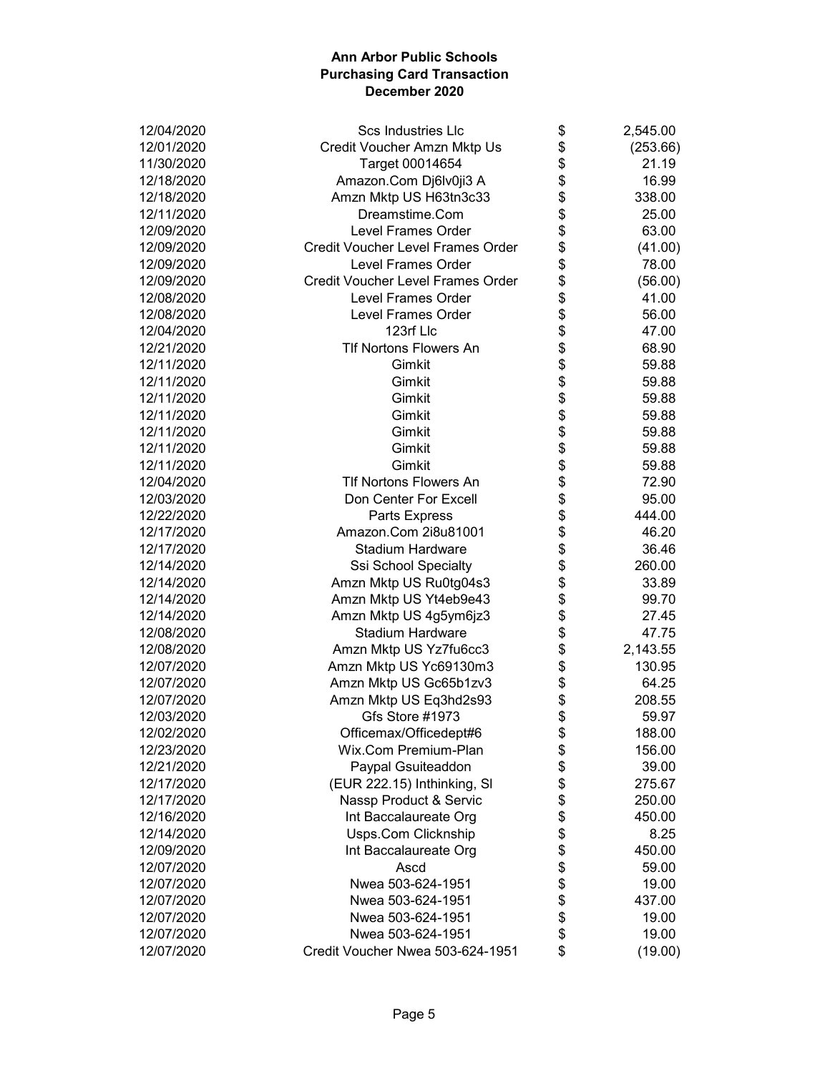|                                                        | \$             |
|--------------------------------------------------------|----------------|
| 12/01/2020<br>Credit Voucher Amzn Mktp Us              | (253.66)       |
| 11/30/2020<br>Target 00014654                          | \$<br>21.19    |
| Amazon.Com Dj6lv0ji3 A<br>12/18/2020                   | \$<br>16.99    |
| 12/18/2020<br>Amzn Mktp US H63tn3c33                   | \$<br>338.00   |
| 12/11/2020<br>Dreamstime.Com                           | \$<br>25.00    |
| 12/09/2020<br><b>Level Frames Order</b>                | \$<br>63.00    |
| 12/09/2020<br><b>Credit Voucher Level Frames Order</b> | \$<br>(41.00)  |
| 12/09/2020<br><b>Level Frames Order</b>                | \$<br>78.00    |
| 12/09/2020<br><b>Credit Voucher Level Frames Order</b> | \$<br>(56.00)  |
| 12/08/2020<br>Level Frames Order                       | \$<br>41.00    |
| <b>Level Frames Order</b><br>12/08/2020                | \$<br>56.00    |
| 123rf Llc<br>12/04/2020                                | \$<br>47.00    |
| <b>TIf Nortons Flowers An</b><br>12/21/2020            | \$<br>68.90    |
| 12/11/2020<br>Gimkit                                   | \$<br>59.88    |
| 12/11/2020<br>Gimkit                                   | \$<br>59.88    |
| 12/11/2020<br>Gimkit                                   | \$<br>59.88    |
| 12/11/2020<br>Gimkit                                   | \$<br>59.88    |
| 12/11/2020<br>Gimkit                                   | \$<br>59.88    |
| 12/11/2020<br>Gimkit                                   | \$<br>59.88    |
| Gimkit<br>12/11/2020                                   | \$<br>59.88    |
| <b>TIf Nortons Flowers An</b><br>12/04/2020            | \$<br>72.90    |
| 12/03/2020<br>Don Center For Excell                    | \$<br>95.00    |
| 12/22/2020<br>Parts Express                            | \$<br>444.00   |
| Amazon.Com 2i8u81001<br>12/17/2020                     | \$<br>46.20    |
| 12/17/2020<br><b>Stadium Hardware</b>                  | 36.46          |
| 12/14/2020                                             | \$             |
| Ssi School Specialty                                   | \$<br>260.00   |
| Amzn Mktp US Ru0tg04s3<br>12/14/2020                   | \$<br>33.89    |
| Amzn Mktp US Yt4eb9e43<br>12/14/2020                   | \$<br>99.70    |
| 12/14/2020<br>Amzn Mktp US 4g5ym6jz3                   | \$<br>27.45    |
| <b>Stadium Hardware</b><br>12/08/2020                  | \$<br>47.75    |
| 12/08/2020<br>Amzn Mktp US Yz7fu6cc3                   | \$<br>2,143.55 |
| 12/07/2020<br>Amzn Mktp US Yc69130m3                   | \$<br>130.95   |
| Amzn Mktp US Gc65b1zv3<br>12/07/2020                   | \$<br>64.25    |
| Amzn Mktp US Eq3hd2s93<br>12/07/2020                   | \$<br>208.55   |
| Gfs Store #1973<br>12/03/2020                          | \$<br>59.97    |
| Officemax/Officedept#6<br>12/02/2020                   | \$<br>188.00   |
| Wix.Com Premium-Plan<br>12/23/2020                     | \$<br>156.00   |
| 12/21/2020<br>Paypal Gsuiteaddon                       | \$<br>39.00    |
| 12/17/2020<br>(EUR 222.15) Inthinking, SI              | \$<br>275.67   |
| Nassp Product & Servic<br>12/17/2020                   | \$<br>250.00   |
| 12/16/2020<br>Int Baccalaureate Org                    | \$<br>450.00   |
| Usps.Com Clicknship<br>12/14/2020                      | \$<br>8.25     |
| Int Baccalaureate Org<br>12/09/2020                    | \$<br>450.00   |
| 12/07/2020<br>Ascd                                     | \$<br>59.00    |
| 12/07/2020<br>Nwea 503-624-1951                        | \$<br>19.00    |
| 12/07/2020<br>Nwea 503-624-1951                        | \$<br>437.00   |
| 12/07/2020<br>Nwea 503-624-1951                        | \$<br>19.00    |
| 12/07/2020<br>Nwea 503-624-1951                        | \$<br>19.00    |
| 12/07/2020<br>Credit Voucher Nwea 503-624-1951         | \$<br>(19.00)  |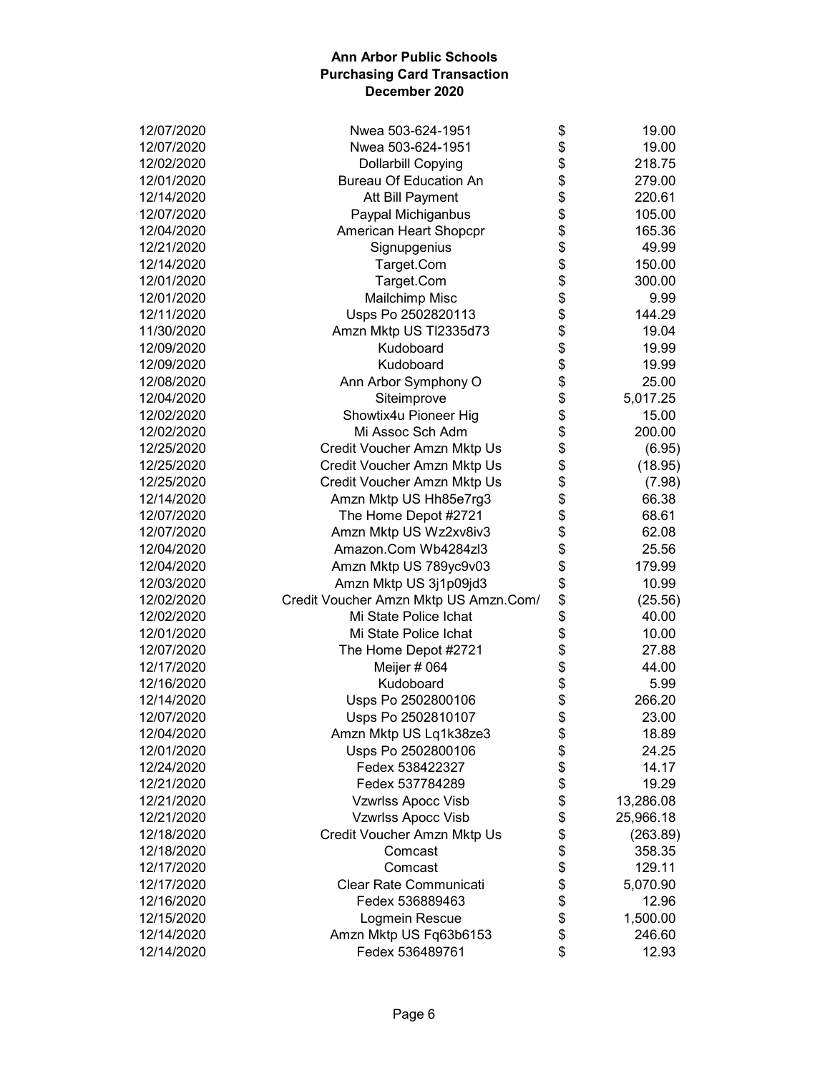| 12/07/2020 | Nwea 503-624-1951                     | \$<br>19.00     |
|------------|---------------------------------------|-----------------|
| 12/07/2020 | Nwea 503-624-1951                     | \$<br>19.00     |
| 12/02/2020 | <b>Dollarbill Copying</b>             | \$<br>218.75    |
| 12/01/2020 | <b>Bureau Of Education An</b>         | \$<br>279.00    |
| 12/14/2020 | Att Bill Payment                      | \$<br>220.61    |
| 12/07/2020 | Paypal Michiganbus                    | \$<br>105.00    |
| 12/04/2020 | American Heart Shopcpr                | \$<br>165.36    |
| 12/21/2020 | Signupgenius                          | \$<br>49.99     |
| 12/14/2020 | Target.Com                            | \$<br>150.00    |
| 12/01/2020 | Target.Com                            | \$<br>300.00    |
| 12/01/2020 | Mailchimp Misc                        | \$<br>9.99      |
| 12/11/2020 | Usps Po 2502820113                    | \$<br>144.29    |
| 11/30/2020 | Amzn Mktp US Tl2335d73                | \$<br>19.04     |
| 12/09/2020 | Kudoboard                             | \$<br>19.99     |
| 12/09/2020 | Kudoboard                             | \$<br>19.99     |
| 12/08/2020 | Ann Arbor Symphony O                  | \$<br>25.00     |
| 12/04/2020 | Siteimprove                           | \$<br>5,017.25  |
| 12/02/2020 | Showtix4u Pioneer Hig                 | \$<br>15.00     |
| 12/02/2020 | Mi Assoc Sch Adm                      | \$<br>200.00    |
| 12/25/2020 | Credit Voucher Amzn Mktp Us           | \$<br>(6.95)    |
| 12/25/2020 | Credit Voucher Amzn Mktp Us           | \$<br>(18.95)   |
| 12/25/2020 | Credit Voucher Amzn Mktp Us           | \$<br>(7.98)    |
| 12/14/2020 | Amzn Mktp US Hh85e7rg3                | \$<br>66.38     |
| 12/07/2020 | The Home Depot #2721                  | \$<br>68.61     |
| 12/07/2020 | Amzn Mktp US Wz2xv8iv3                | \$<br>62.08     |
| 12/04/2020 | Amazon.Com Wb4284zl3                  | \$<br>25.56     |
| 12/04/2020 | Amzn Mktp US 789yc9v03                | \$<br>179.99    |
| 12/03/2020 | Amzn Mktp US 3j1p09jd3                | \$<br>10.99     |
| 12/02/2020 | Credit Voucher Amzn Mktp US Amzn.Com/ | \$<br>(25.56)   |
| 12/02/2020 | Mi State Police Ichat                 | \$<br>40.00     |
| 12/01/2020 | Mi State Police Ichat                 | \$<br>10.00     |
| 12/07/2020 | The Home Depot #2721                  | \$<br>27.88     |
| 12/17/2020 | Meijer # 064                          | \$<br>44.00     |
| 12/16/2020 | Kudoboard                             | \$<br>5.99      |
| 12/14/2020 |                                       | \$<br>266.20    |
| 12/07/2020 | Usps Po 2502800106                    | \$              |
|            | Usps Po 2502810107                    | 23.00<br>18.89  |
| 12/04/2020 | Amzn Mktp US Lq1k38ze3                | \$              |
| 12/01/2020 | Usps Po 2502800106                    | \$<br>24.25     |
| 12/24/2020 | Fedex 538422327                       | \$<br>14.17     |
| 12/21/2020 | Fedex 537784289                       | \$<br>19.29     |
| 12/21/2020 | Vzwrlss Apocc Visb                    | \$<br>13,286.08 |
| 12/21/2020 | <b>Vzwrlss Apocc Visb</b>             | \$<br>25,966.18 |
| 12/18/2020 | Credit Voucher Amzn Mktp Us           | \$<br>(263.89)  |
| 12/18/2020 | Comcast                               | \$<br>358.35    |
| 12/17/2020 | Comcast                               | \$<br>129.11    |
| 12/17/2020 | Clear Rate Communicati                | \$<br>5,070.90  |
| 12/16/2020 | Fedex 536889463                       | \$<br>12.96     |
| 12/15/2020 | Logmein Rescue                        | \$<br>1,500.00  |
| 12/14/2020 | Amzn Mktp US Fq63b6153                | \$<br>246.60    |
| 12/14/2020 | Fedex 536489761                       | \$<br>12.93     |